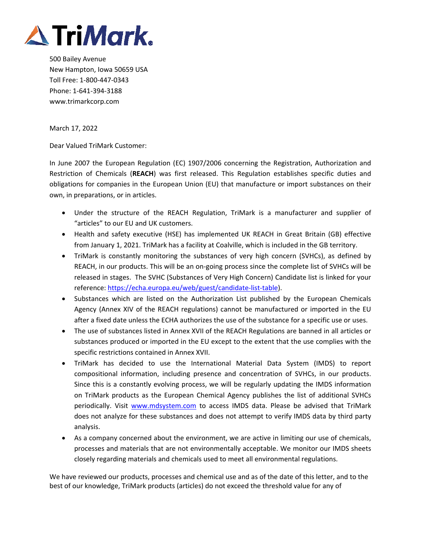

500 Bailey Avenue New Hampton, Iowa 50659 USA Toll Free: 1‐800‐447‐0343 Phone: 1‐641‐394‐3188 www.trimarkcorp.com

March 17, 2022

Dear Valued TriMark Customer:

In June 2007 the European Regulation (EC) 1907/2006 concerning the Registration, Authorization and Restriction of Chemicals (**REACH**) was first released. This Regulation establishes specific duties and obligations for companies in the European Union (EU) that manufacture or import substances on their own, in preparations, or in articles.

- Under the structure of the REACH Regulation, TriMark is a manufacturer and supplier of "articles" to our EU and UK customers.
- Health and safety executive (HSE) has implemented UK REACH in Great Britain (GB) effective from January 1, 2021. TriMark has a facility at Coalville, which is included in the GB territory.
- TriMark is constantly monitoring the substances of very high concern (SVHCs), as defined by REACH, in our products. This will be an on‐going process since the complete list of SVHCs will be released in stages. The SVHC (Substances of Very High Concern) Candidate list is linked for your reference: https://echa.europa.eu/web/guest/candidate‐list‐table).
- Substances which are listed on the Authorization List published by the European Chemicals Agency (Annex XIV of the REACH regulations) cannot be manufactured or imported in the EU after a fixed date unless the ECHA authorizes the use of the substance for a specific use or uses.
- The use of substances listed in Annex XVII of the REACH Regulations are banned in all articles or substances produced or imported in the EU except to the extent that the use complies with the specific restrictions contained in Annex XVII.
- TriMark has decided to use the International Material Data System (IMDS) to report compositional information, including presence and concentration of SVHCs, in our products. Since this is a constantly evolving process, we will be regularly updating the IMDS information on TriMark products as the European Chemical Agency publishes the list of additional SVHCs periodically. Visit www.mdsystem.com to access IMDS data. Please be advised that TriMark does not analyze for these substances and does not attempt to verify IMDS data by third party analysis.
- As a company concerned about the environment, we are active in limiting our use of chemicals, processes and materials that are not environmentally acceptable. We monitor our IMDS sheets closely regarding materials and chemicals used to meet all environmental regulations.

We have reviewed our products, processes and chemical use and as of the date of this letter, and to the best of our knowledge, TriMark products (articles) do not exceed the threshold value for any of